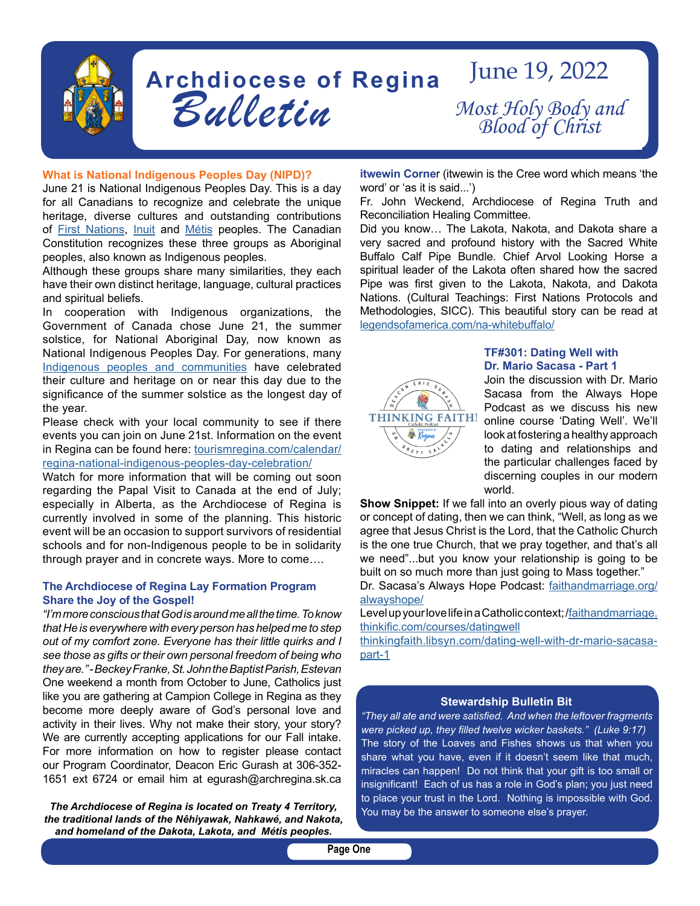

# **Archdiocese of Regina**  *Bulletin* June 19, 2022 *Most Holy Body and Blood of Christ*

#### **What is National Indigenous Peoples Day (NIPD)?**

June 21 is National Indigenous Peoples Day. This is a day for all Canadians to recognize and celebrate the unique heritage, diverse cultures and outstanding contributions of [First Nations,](https://www.rcaanc-cirnac.gc.ca/eng/1100100013791/1535470872302) [Inuit](https://www.rcaanc-cirnac.gc.ca/eng/1100100014187/1534785248701) and [Métis](https://www.rcaanc-cirnac.gc.ca/eng/1100100014427/1535467913043) peoples. The Canadian Constitution recognizes these three groups as Aboriginal peoples, also known as Indigenous peoples.

Although these groups share many similarities, they each have their own distinct heritage, language, cultural practices and spiritual beliefs.

In cooperation with Indigenous organizations, the Government of Canada chose June 21, the summer solstice, for National Aboriginal Day, now known as National Indigenous Peoples Day. For generations, many [Indigenous peoples and communities](https://www.rcaanc-cirnac.gc.ca/eng/1100100013785/1529102490303) have celebrated their culture and heritage on or near this day due to the significance of the summer solstice as the longest day of the year.

Please check with your local community to see if there events you can join on June 21st. Information on the event in Regina can be found here: [tourismregina.com/calendar/](http://tourismregina.com/calendar/regina-national-indigenous-peoples-day-celebration/) [regina-national-indigenous-peoples-day-celebration/](http://tourismregina.com/calendar/regina-national-indigenous-peoples-day-celebration/)

Watch for more information that will be coming out soon regarding the Papal Visit to Canada at the end of July; especially in Alberta, as the Archdiocese of Regina is currently involved in some of the planning. This historic event will be an occasion to support survivors of residential schools and for non-Indigenous people to be in solidarity through prayer and in concrete ways. More to come….

### **The Archdiocese of Regina Lay Formation Program Share the Joy of the Gospel!**

*"I'm more conscious that God is around me all the time. To know that He is everywhere with every person has helped me to step out of my comfort zone. Everyone has their little quirks and I see those as gifts or their own personal freedom of being who they are." - Beckey Franke, St. John the Baptist Parish, Estevan* One weekend a month from October to June, Catholics just like you are gathering at Campion College in Regina as they become more deeply aware of God's personal love and activity in their lives. Why not make their story, your story? We are currently accepting applications for our Fall intake. For more information on how to register please contact our Program Coordinator, Deacon Eric Gurash at 306-352- 1651 ext 6724 or email him at egurash@archregina.sk.ca

*The Archdiocese of Regina is located on Treaty 4 Territory, the traditional lands of the Nêhiyawak, Nahkawé, and Nakota, and homeland of the Dakota, Lakota, and Métis peoples.*

**itwewin Corne**r (itwewin is the Cree word which means 'the word' or 'as it is said...')

Fr. John Weckend, Archdiocese of Regina Truth and Reconciliation Healing Committee.

Did you know… The Lakota, Nakota, and Dakota share a very sacred and profound history with the Sacred White Buffalo Calf Pipe Bundle. Chief Arvol Looking Horse a spiritual leader of the Lakota often shared how the sacred Pipe was first given to the Lakota, Nakota, and Dakota Nations. (Cultural Teachings: First Nations Protocols and Methodologies, SICC). This beautiful story can be read at l[egendsofamerica.com/na-whitebuffalo/](http://legendsofamerica.com/na-whitebuffalo/)



## **TF#301: Dating Well with Dr. Mario Sacasa - Part 1**

Join the discussion with Dr. Mario Sacasa from the Always Hope Podcast as we discuss his new online course 'Dating Well'. We'll look at fostering a healthy approach to dating and relationships and the particular challenges faced by discerning couples in our modern world.

**Show Snippet:** If we fall into an overly pious way of dating or concept of dating, then we can think, "Well, as long as we agree that Jesus Christ is the Lord, that the Catholic Church is the one true Church, that we pray together, and that's all we need"...but you know your relationship is going to be built on so much more than just going to Mass together."

Dr. Sacasa's Always Hope Podcast: [faithandmarriage.org/](http://faithandmarriage.org/alwayshope/ ) [alwayshope/](http://faithandmarriage.org/alwayshope/ )

Level up your love life in a Catholic context; /[faithandmarriage.](http://faithandmarriage.thinkific.com/courses/datingwell ) [thinkific.com/courses/datingwell](http://faithandmarriage.thinkific.com/courses/datingwell )

[thinkingfaith.libsyn.com/dating-well-with-dr-mario-sacasa](http://thinkingfaith.libsyn.com/dating-well-with-dr-mario-sacasa-part-1)[part-1](http://thinkingfaith.libsyn.com/dating-well-with-dr-mario-sacasa-part-1)

#### **Stewardship Bulletin Bit**

*"They all ate and were satisfied. And when the leftover fragments were picked up, they filled twelve wicker baskets." (Luke 9:17)* The story of the Loaves and Fishes shows us that when you share what you have, even if it doesn't seem like that much, miracles can happen! Do not think that your gift is too small or insignificant! Each of us has a role in God's plan; you just need to place your trust in the Lord. Nothing is impossible with God. You may be the answer to someone else's prayer.

**Page One**